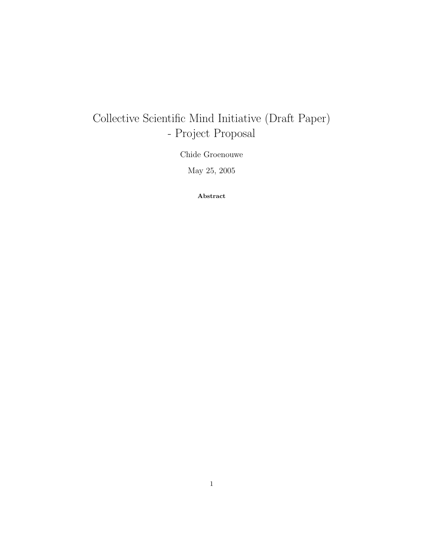# Collective Scientific Mind Initiative (Draft Paper) - Project Proposal

Chide Groenouwe

May 25, 2005

Abstract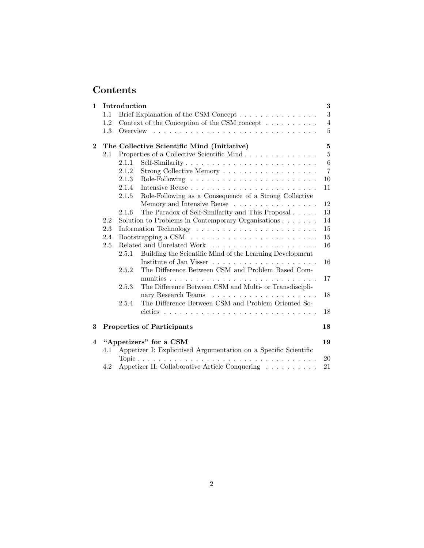## Contents

| $\mathbf{1}$   | Introduction                                                            |                                                                                                  |                                                                     | $\bf{3}$        |
|----------------|-------------------------------------------------------------------------|--------------------------------------------------------------------------------------------------|---------------------------------------------------------------------|-----------------|
|                | 1.1                                                                     | Brief Explanation of the CSM Concept                                                             |                                                                     | 3               |
|                | 1.2                                                                     |                                                                                                  | Context of the Conception of the CSM concept $\ldots \ldots \ldots$ | $\overline{4}$  |
|                | 1.3                                                                     |                                                                                                  |                                                                     | $\overline{5}$  |
| $\mathbf{2}$   |                                                                         | The Collective Scientific Mind (Initiative)<br>Properties of a Collective Scientific Mind<br>2.1 |                                                                     |                 |
|                |                                                                         |                                                                                                  |                                                                     |                 |
|                |                                                                         | 2.1.1                                                                                            | Self-Similarity                                                     | $6\phantom{.}6$ |
|                |                                                                         | 2.1.2                                                                                            | Strong Collective Memory                                            | $\overline{7}$  |
|                |                                                                         | 2.1.3                                                                                            |                                                                     | 10              |
|                |                                                                         | 2.1.4                                                                                            |                                                                     | 11              |
|                |                                                                         | 2.1.5                                                                                            | Role-Following as a Consequence of a Strong Collective              |                 |
|                |                                                                         |                                                                                                  | Memory and Intensive Reuse                                          | 12              |
|                |                                                                         | 2.1.6                                                                                            | The Paradox of Self-Similarity and This Proposal                    | 13              |
|                | 2.2                                                                     |                                                                                                  | Solution to Problems in Contemporary Organisations                  | 14              |
|                | 2.3                                                                     | Information Technology $\dots \dots \dots \dots \dots \dots \dots \dots \dots$<br>15             |                                                                     |                 |
|                | 2.4                                                                     | 15                                                                                               |                                                                     |                 |
|                | 2.5                                                                     |                                                                                                  |                                                                     | 16              |
|                |                                                                         | 2.5.1                                                                                            | Building the Scientific Mind of the Learning Development            | 16              |
|                |                                                                         | 2.5.2                                                                                            | The Difference Between CSM and Problem Based Com-                   |                 |
|                |                                                                         |                                                                                                  |                                                                     | 17              |
|                |                                                                         | 2.5.3                                                                                            | The Difference Between CSM and Multi- or Transdiscipli-             |                 |
|                |                                                                         |                                                                                                  |                                                                     | 18              |
|                |                                                                         | 2.5.4                                                                                            | The Difference Between CSM and Problem Oriented So-                 |                 |
|                |                                                                         |                                                                                                  |                                                                     | 18              |
| 3              | <b>Properties of Participants</b>                                       |                                                                                                  | 18                                                                  |                 |
| $\overline{4}$ | "Appetizers" for a CSM                                                  |                                                                                                  |                                                                     | 19              |
|                | Appetizer I: Explicitised Argumentation on a Specific Scientific<br>4.1 |                                                                                                  |                                                                     | 20              |
|                |                                                                         | Appetizer II: Collaborative Article Conquering                                                   |                                                                     |                 |
|                | 4.2                                                                     |                                                                                                  |                                                                     | 21              |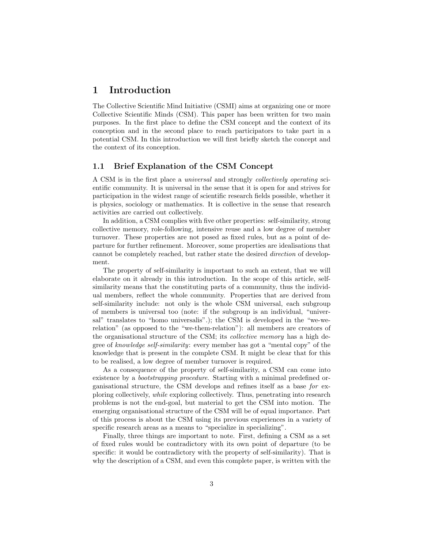## 1 Introduction

The Collective Scientific Mind Initiative (CSMI) aims at organizing one or more Collective Scientific Minds (CSM). This paper has been written for two main purposes. In the first place to define the CSM concept and the context of its conception and in the second place to reach participators to take part in a potential CSM. In this introduction we will first briefly sketch the concept and the context of its conception.

#### 1.1 Brief Explanation of the CSM Concept

A CSM is in the first place a universal and strongly collectively operating scientific community. It is universal in the sense that it is open for and strives for participation in the widest range of scientific research fields possible, whether it is physics, sociology or mathematics. It is collective in the sense that research activities are carried out collectively.

In addition, a CSM complies with five other properties: self-similarity, strong collective memory, role-following, intensive reuse and a low degree of member turnover. These properties are not posed as fixed rules, but as a point of departure for further refinement. Moreover, some properties are idealisations that cannot be completely reached, but rather state the desired direction of development.

The property of self-similarity is important to such an extent, that we will elaborate on it already in this introduction. In the scope of this article, selfsimilarity means that the constituting parts of a community, thus the individual members, reflect the whole community. Properties that are derived from self-similarity include: not only is the whole CSM universal, each subgroup of members is universal too (note: if the subgroup is an individual, "universal" translates to "homo universalis".); the CSM is developed in the "we-werelation" (as opposed to the "we-them-relation"): all members are creators of the organisational structure of the CSM; its collective memory has a high degree of knowledge self-similarity: every member has got a "mental copy" of the knowledge that is present in the complete CSM. It might be clear that for this to be realised, a low degree of member turnover is required.

As a consequence of the property of self-similarity, a CSM can come into existence by a bootstrapping procedure. Starting with a minimal predefined organisational structure, the CSM develops and refines itself as a base for exploring collectively, while exploring collectively. Thus, penetrating into research problems is not the end-goal, but material to get the CSM into motion. The emerging organisational structure of the CSM will be of equal importance. Part of this process is about the CSM using its previous experiences in a variety of specific research areas as a means to "specialize in specializing".

Finally, three things are important to note. First, defining a CSM as a set of fixed rules would be contradictory with its own point of departure (to be specific: it would be contradictory with the property of self-similarity). That is why the description of a CSM, and even this complete paper, is written with the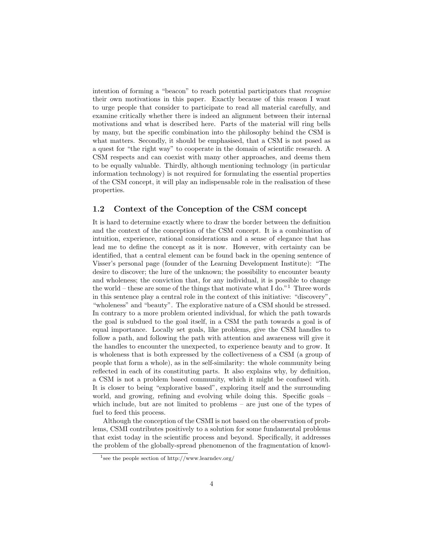intention of forming a "beacon" to reach potential participators that recognise their own motivations in this paper. Exactly because of this reason I want to urge people that consider to participate to read all material carefully, and examine critically whether there is indeed an alignment between their internal motivations and what is described here. Parts of the material will ring bells by many, but the specific combination into the philosophy behind the CSM is what matters. Secondly, it should be emphasised, that a CSM is not posed as a quest for "the right way" to cooperate in the domain of scientific research. A CSM respects and can coexist with many other approaches, and deems them to be equally valuable. Thirdly, although mentioning technology (in particular information technology) is not required for formulating the essential properties of the CSM concept, it will play an indispensable role in the realisation of these properties.

#### 1.2 Context of the Conception of the CSM concept

It is hard to determine exactly where to draw the border between the definition and the context of the conception of the CSM concept. It is a combination of intuition, experience, rational considerations and a sense of elegance that has lead me to define the concept as it is now. However, with certainty can be identified, that a central element can be found back in the opening sentence of Visser's personal page (founder of the Learning Development Institute): "The desire to discover; the lure of the unknown; the possibility to encounter beauty and wholeness; the conviction that, for any individual, it is possible to change the world – these are some of the things that motivate what I do."<sup>1</sup> Three words in this sentence play a central role in the context of this initiative: "discovery", "wholeness" and "beauty". The explorative nature of a CSM should be stressed. In contrary to a more problem oriented individual, for which the path towards the goal is subdued to the goal itself, in a CSM the path towards a goal is of equal importance. Locally set goals, like problems, give the CSM handles to follow a path, and following the path with attention and awareness will give it the handles to encounter the unexpected, to experience beauty and to grow. It is wholeness that is both expressed by the collectiveness of a CSM (a group of people that form a whole), as in the self-similarity: the whole community being reflected in each of its constituting parts. It also explains why, by definition, a CSM is not a problem based community, which it might be confused with. It is closer to being "explorative based", exploring itself and the surrounding world, and growing, refining and evolving while doing this. Specific goals – which include, but are not limited to problems – are just one of the types of fuel to feed this process.

Although the conception of the CSMI is not based on the observation of problems, CSMI contributes positively to a solution for some fundamental problems that exist today in the scientific process and beyond. Specifically, it addresses the problem of the globally-spread phenomenon of the fragmentation of knowl-

<sup>1</sup> see the people section of http://www.learndev.org/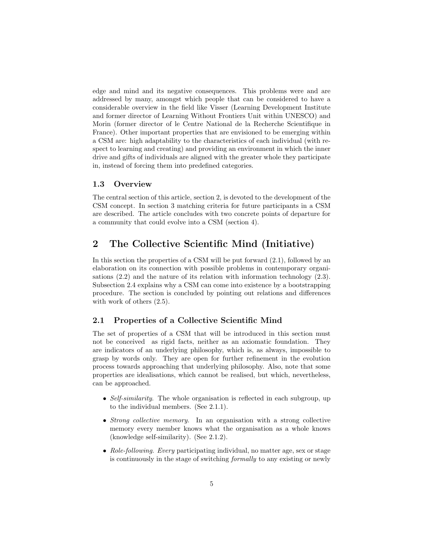edge and mind and its negative consequences. This problems were and are addressed by many, amongst which people that can be considered to have a considerable overview in the field like Visser (Learning Development Institute and former director of Learning Without Frontiers Unit within UNESCO) and Morin (former director of le Centre National de la Recherche Scientifique in France). Other important properties that are envisioned to be emerging within a CSM are: high adaptability to the characteristics of each individual (with respect to learning and creating) and providing an environment in which the inner drive and gifts of individuals are aligned with the greater whole they participate in, instead of forcing them into predefined categories.

#### 1.3 Overview

The central section of this article, section 2, is devoted to the development of the CSM concept. In section 3 matching criteria for future participants in a CSM are described. The article concludes with two concrete points of departure for a community that could evolve into a CSM (section 4).

## 2 The Collective Scientific Mind (Initiative)

In this section the properties of a CSM will be put forward (2.1), followed by an elaboration on its connection with possible problems in contemporary organisations (2.2) and the nature of its relation with information technology (2.3). Subsection 2.4 explains why a CSM can come into existence by a bootstrapping procedure. The section is concluded by pointing out relations and differences with work of others  $(2.5)$ .

#### 2.1 Properties of a Collective Scientific Mind

The set of properties of a CSM that will be introduced in this section must not be conceived as rigid facts, neither as an axiomatic foundation. They are indicators of an underlying philosophy, which is, as always, impossible to grasp by words only. They are open for further refinement in the evolution process towards approaching that underlying philosophy. Also, note that some properties are idealisations, which cannot be realised, but which, nevertheless, can be approached.

- Self-similarity. The whole organisation is reflected in each subgroup, up to the individual members. (See 2.1.1).
- Strong collective memory. In an organisation with a strong collective memory every member knows what the organisation as a whole knows (knowledge self-similarity). (See 2.1.2).
- Role-following. Every participating individual, no matter age, sex or stage is continuously in the stage of switching formally to any existing or newly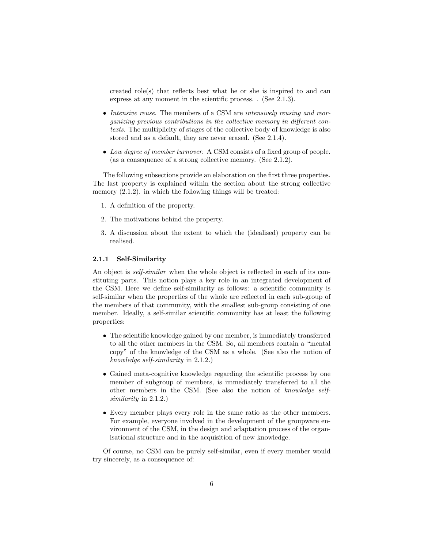created role(s) that reflects best what he or she is inspired to and can express at any moment in the scientific process. . (See 2.1.3).

- Intensive reuse. The members of a CSM are intensively reusing and reorganizing previous contributions in the collective memory in different contexts. The multiplicity of stages of the collective body of knowledge is also stored and as a default, they are never erased. (See 2.1.4).
- Low degree of member turnover. A CSM consists of a fixed group of people. (as a consequence of a strong collective memory. (See 2.1.2).

The following subsections provide an elaboration on the first three properties. The last property is explained within the section about the strong collective memory  $(2.1.2)$ . in which the following things will be treated:

- 1. A definition of the property.
- 2. The motivations behind the property.
- 3. A discussion about the extent to which the (idealised) property can be realised.

#### 2.1.1 Self-Similarity

An object is *self-similar* when the whole object is reflected in each of its constituting parts. This notion plays a key role in an integrated development of the CSM. Here we define self-similarity as follows: a scientific community is self-similar when the properties of the whole are reflected in each sub-group of the members of that community, with the smallest sub-group consisting of one member. Ideally, a self-similar scientific community has at least the following properties:

- The scientific knowledge gained by one member, is immediately transferred to all the other members in the CSM. So, all members contain a "mental copy" of the knowledge of the CSM as a whole. (See also the notion of knowledge self-similarity in 2.1.2.)
- Gained meta-cognitive knowledge regarding the scientific process by one member of subgroup of members, is immediately transferred to all the other members in the CSM. (See also the notion of knowledge selfsimilarity in 2.1.2.)
- Every member plays every role in the same ratio as the other members. For example, everyone involved in the development of the groupware environment of the CSM, in the design and adaptation process of the organisational structure and in the acquisition of new knowledge.

Of course, no CSM can be purely self-similar, even if every member would try sincerely, as a consequence of: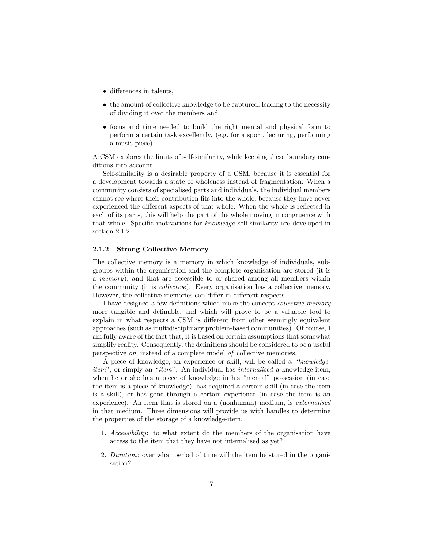- differences in talents,
- the amount of collective knowledge to be captured, leading to the necessity of dividing it over the members and
- focus and time needed to build the right mental and physical form to perform a certain task excellently. (e.g. for a sport, lecturing, performing a music piece).

A CSM explores the limits of self-similarity, while keeping these boundary conditions into account.

Self-similarity is a desirable property of a CSM, because it is essential for a development towards a state of wholeness instead of fragmentation. When a community consists of specialised parts and individuals, the individual members cannot see where their contribution fits into the whole, because they have never experienced the different aspects of that whole. When the whole is reflected in each of its parts, this will help the part of the whole moving in congruence with that whole. Specific motivations for knowledge self-similarity are developed in section 2.1.2.

#### 2.1.2 Strong Collective Memory

The collective memory is a memory in which knowledge of individuals, subgroups within the organisation and the complete organisation are stored (it is a memory), and that are accessible to or shared among all members within the community (it is collective). Every organisation has a collective memory. However, the collective memories can differ in different respects.

I have designed a few definitions which make the concept collective memory more tangible and definable, and which will prove to be a valuable tool to explain in what respects a CSM is different from other seemingly equivalent approaches (such as multidisciplinary problem-based communities). Of course, I am fully aware of the fact that, it is based on certain assumptions that somewhat simplify reality. Consequently, the definitions should be considered to be a useful perspective on, instead of a complete model of collective memories.

A piece of knowledge, an experience or skill, will be called a "knowledgeitem", or simply an "item". An individual has *internalised* a knowledge-item, when he or she has a piece of knowledge in his "mental" possession (in case the item is a piece of knowledge), has acquired a certain skill (in case the item is a skill), or has gone through a certain experience (in case the item is an experience). An item that is stored on a (nonhuman) medium, is externalised in that medium. Three dimensions will provide us with handles to determine the properties of the storage of a knowledge-item.

- 1. Accessibility: to what extent do the members of the organisation have access to the item that they have not internalised as yet?
- 2. Duration: over what period of time will the item be stored in the organisation?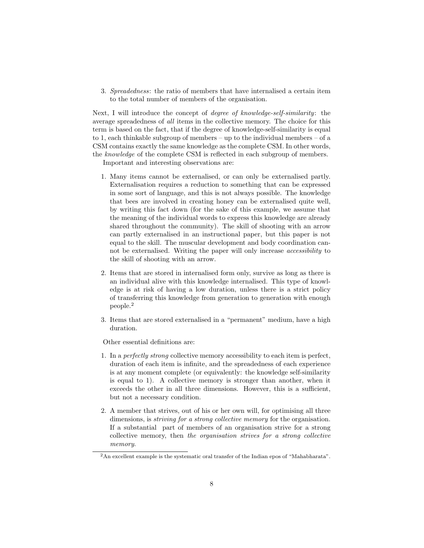3. Spreadedness: the ratio of members that have internalised a certain item to the total number of members of the organisation.

Next, I will introduce the concept of degree of knowledge-self-similarity: the average spreadedness of all items in the collective memory. The choice for this term is based on the fact, that if the degree of knowledge-self-similarity is equal to 1, each thinkable subgroup of members – up to the individual members – of a CSM contains exactly the same knowledge as the complete CSM. In other words, the knowledge of the complete CSM is reflected in each subgroup of members.

Important and interesting observations are:

- 1. Many items cannot be externalised, or can only be externalised partly. Externalisation requires a reduction to something that can be expressed in some sort of language, and this is not always possible. The knowledge that bees are involved in creating honey can be externalised quite well, by writing this fact down (for the sake of this example, we assume that the meaning of the individual words to express this knowledge are already shared throughout the community). The skill of shooting with an arrow can partly externalised in an instructional paper, but this paper is not equal to the skill. The muscular development and body coordination cannot be externalised. Writing the paper will only increase accessibility to the skill of shooting with an arrow.
- 2. Items that are stored in internalised form only, survive as long as there is an individual alive with this knowledge internalised. This type of knowledge is at risk of having a low duration, unless there is a strict policy of transferring this knowledge from generation to generation with enough people.<sup>2</sup>
- 3. Items that are stored externalised in a "permanent" medium, have a high duration.

Other essential definitions are:

- 1. In a perfectly strong collective memory accessibility to each item is perfect, duration of each item is infinite, and the spreadedness of each experience is at any moment complete (or equivalently: the knowledge self-similarity is equal to 1). A collective memory is stronger than another, when it exceeds the other in all three dimensions. However, this is a sufficient, but not a necessary condition.
- 2. A member that strives, out of his or her own will, for optimising all three dimensions, is *striving for a strong collective memory* for the organisation. If a substantial part of members of an organisation strive for a strong collective memory, then the organisation strives for a strong collective memory.

<sup>2</sup>An excellent example is the systematic oral transfer of the Indian epos of "Mahabharata".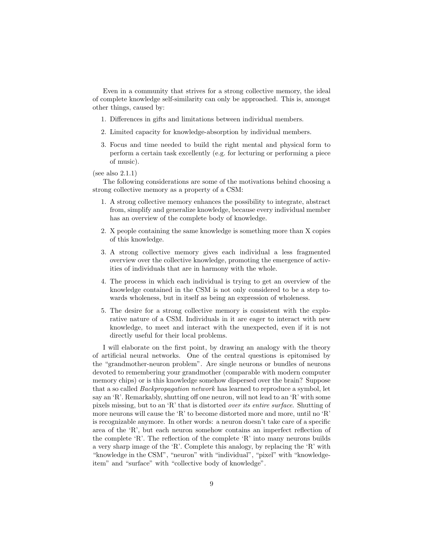Even in a community that strives for a strong collective memory, the ideal of complete knowledge self-similarity can only be approached. This is, amongst other things, caused by:

- 1. Differences in gifts and limitations between individual members.
- 2. Limited capacity for knowledge-absorption by individual members.
- 3. Focus and time needed to build the right mental and physical form to perform a certain task excellently (e.g. for lecturing or performing a piece of music).

(see also 2.1.1)

The following considerations are some of the motivations behind choosing a strong collective memory as a property of a CSM:

- 1. A strong collective memory enhances the possibility to integrate, abstract from, simplify and generalize knowledge, because every individual member has an overview of the complete body of knowledge.
- 2. X people containing the same knowledge is something more than X copies of this knowledge.
- 3. A strong collective memory gives each individual a less fragmented overview over the collective knowledge, promoting the emergence of activities of individuals that are in harmony with the whole.
- 4. The process in which each individual is trying to get an overview of the knowledge contained in the CSM is not only considered to be a step towards wholeness, but in itself as being an expression of wholeness.
- 5. The desire for a strong collective memory is consistent with the explorative nature of a CSM. Individuals in it are eager to interact with new knowledge, to meet and interact with the unexpected, even if it is not directly useful for their local problems.

I will elaborate on the first point, by drawing an analogy with the theory of artificial neural networks. One of the central questions is epitomised by the "grandmother-neuron problem". Are single neurons or bundles of neurons devoted to remembering your grandmother (comparable with modern computer memory chips) or is this knowledge somehow dispersed over the brain? Suppose that a so called Backpropagation network has learned to reproduce a symbol, let say an 'R'. Remarkably, shutting off one neuron, will not lead to an 'R' with some pixels missing, but to an 'R' that is distorted over its entire surface. Shutting of more neurons will cause the 'R' to become distorted more and more, until no 'R' is recognizable anymore. In other words: a neuron doesn't take care of a specific area of the 'R', but each neuron somehow contains an imperfect reflection of the complete 'R'. The reflection of the complete 'R' into many neurons builds a very sharp image of the 'R'. Complete this analogy, by replacing the 'R' with "knowledge in the CSM", "neuron" with "individual", "pixel" with "knowledgeitem" and "surface" with "collective body of knowledge".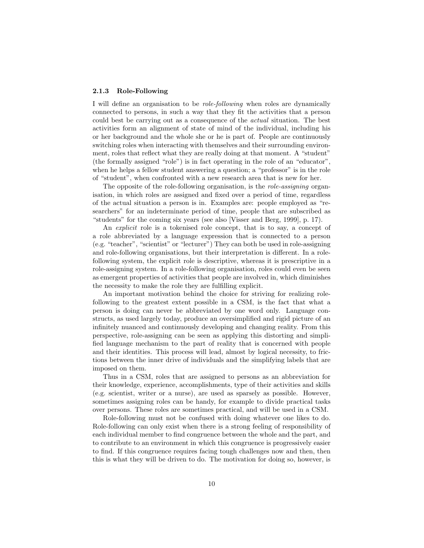#### 2.1.3 Role-Following

I will define an organisation to be role-following when roles are dynamically connected to persons, in such a way that they fit the activities that a person could best be carrying out as a consequence of the actual situation. The best activities form an alignment of state of mind of the individual, including his or her background and the whole she or he is part of. People are continuously switching roles when interacting with themselves and their surrounding environment, roles that reflect what they are really doing at that moment. A "student" (the formally assigned "role") is in fact operating in the role of an "educator", when he helps a fellow student answering a question; a "professor" is in the role of "student", when confronted with a new research area that is new for her.

The opposite of the role-following organisation, is the role-assigning organisation, in which roles are assigned and fixed over a period of time, regardless of the actual situation a person is in. Examples are: people employed as "researchers" for an indeterminate period of time, people that are subscribed as "students" for the coming six years (see also [Visser and Berg, 1999], p. 17).

An *explicit* role is a tokenised role concept, that is to say, a concept of a role abbreviated by a language expression that is connected to a person (e.g. "teacher", "scientist" or "lecturer") They can both be used in role-assigning and role-following organisations, but their interpretation is different. In a rolefollowing system, the explicit role is descriptive, whereas it is prescriptive in a role-assigning system. In a role-following organisation, roles could even be seen as emergent properties of activities that people are involved in, which diminishes the necessity to make the role they are fulfilling explicit.

An important motivation behind the choice for striving for realizing rolefollowing to the greatest extent possible in a CSM, is the fact that what a person is doing can never be abbreviated by one word only. Language constructs, as used largely today, produce an oversimplified and rigid picture of an infinitely nuanced and continuously developing and changing reality. From this perspective, role-assigning can be seen as applying this distorting and simplified language mechanism to the part of reality that is concerned with people and their identities. This process will lead, almost by logical necessity, to frictions between the inner drive of individuals and the simplifying labels that are imposed on them.

Thus in a CSM, roles that are assigned to persons as an abbreviation for their knowledge, experience, accomplishments, type of their activities and skills (e.g. scientist, writer or a nurse), are used as sparsely as possible. However, sometimes assigning roles can be handy, for example to divide practical tasks over persons. These roles are sometimes practical, and will be used in a CSM.

Role-following must not be confused with doing whatever one likes to do. Role-following can only exist when there is a strong feeling of responsibility of each individual member to find congruence between the whole and the part, and to contribute to an environment in which this congruence is progressively easier to find. If this congruence requires facing tough challenges now and then, then this is what they will be driven to do. The motivation for doing so, however, is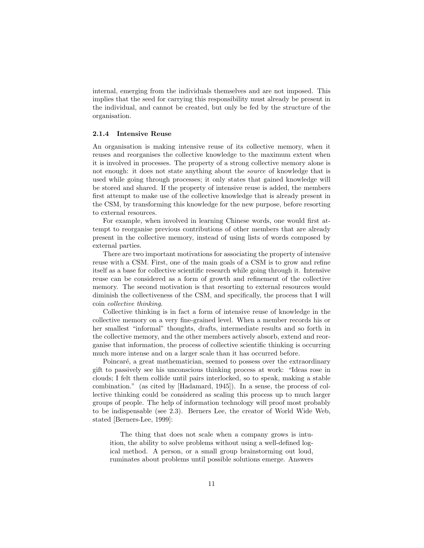internal, emerging from the individuals themselves and are not imposed. This implies that the seed for carrying this responsibility must already be present in the individual, and cannot be created, but only be fed by the structure of the organisation.

#### 2.1.4 Intensive Reuse

An organisation is making intensive reuse of its collective memory, when it reuses and reorganises the collective knowledge to the maximum extent when it is involved in processes. The property of a strong collective memory alone is not enough: it does not state anything about the source of knowledge that is used while going through processes; it only states that gained knowledge will be stored and shared. If the property of intensive reuse is added, the members first attempt to make use of the collective knowledge that is already present in the CSM, by transforming this knowledge for the new purpose, before resorting to external resources.

For example, when involved in learning Chinese words, one would first attempt to reorganise previous contributions of other members that are already present in the collective memory, instead of using lists of words composed by external parties.

There are two important motivations for associating the property of intensive reuse with a CSM. First, one of the main goals of a CSM is to grow and refine itself as a base for collective scientific research while going through it. Intensive reuse can be considered as a form of growth and refinement of the collective memory. The second motivation is that resorting to external resources would diminish the collectiveness of the CSM, and specifically, the process that I will coin collective thinking.

Collective thinking is in fact a form of intensive reuse of knowledge in the collective memory on a very fine-grained level. When a member records his or her smallest "informal" thoughts, drafts, intermediate results and so forth in the collective memory, and the other members actively absorb, extend and reorganise that information, the process of collective scientific thinking is occurring much more intense and on a larger scale than it has occurred before.

Poincaré, a great mathematician, seemed to possess over the extraordinary gift to passively see his unconscious thinking process at work: "Ideas rose in clouds; I felt them collide until pairs interlocked, so to speak, making a stable combination." (as cited by [Hadamard, 1945]). In a sense, the process of collective thinking could be considered as scaling this process up to much larger groups of people. The help of information technology will proof most probably to be indispensable (see 2.3). Berners Lee, the creator of World Wide Web, stated [Berners-Lee, 1999]:

The thing that does not scale when a company grows is intuition, the ability to solve problems without using a well-defined logical method. A person, or a small group brainstorming out loud, ruminates about problems until possible solutions emerge. Answers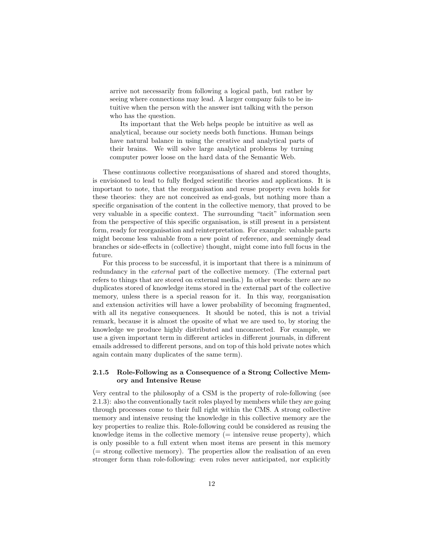arrive not necessarily from following a logical path, but rather by seeing where connections may lead. A larger company fails to be intuitive when the person with the answer isnt talking with the person who has the question.

Its important that the Web helps people be intuitive as well as analytical, because our society needs both functions. Human beings have natural balance in using the creative and analytical parts of their brains. We will solve large analytical problems by turning computer power loose on the hard data of the Semantic Web.

These continuous collective reorganisations of shared and stored thoughts, is envisioned to lead to fully fledged scientific theories and applications. It is important to note, that the reorganisation and reuse property even holds for these theories: they are not conceived as end-goals, but nothing more than a specific organisation of the content in the collective memory, that proved to be very valuable in a specific context. The surrounding "tacit" information seen from the perspective of this specific organisation, is still present in a persistent form, ready for reorganisation and reinterpretation. For example: valuable parts might become less valuable from a new point of reference, and seemingly dead branches or side-effects in (collective) thought, might come into full focus in the future.

For this process to be successful, it is important that there is a minimum of redundancy in the external part of the collective memory. (The external part refers to things that are stored on external media.) In other words: there are no duplicates stored of knowledge items stored in the external part of the collective memory, unless there is a special reason for it. In this way, reorganisation and extension activities will have a lower probability of becoming fragmented, with all its negative consequences. It should be noted, this is not a trivial remark, because it is almost the oposite of what we are used to, by storing the knowledge we produce highly distributed and unconnected. For example, we use a given important term in different articles in different journals, in different emails addressed to different persons, and on top of this hold private notes which again contain many duplicates of the same term).

#### 2.1.5 Role-Following as a Consequence of a Strong Collective Memory and Intensive Reuse

Very central to the philosophy of a CSM is the property of role-following (see 2.1.3): also the conventionally tacit roles played by members while they are going through processes come to their full right within the CMS. A strong collective memory and intensive reusing the knowledge in this collective memory are the key properties to realize this. Role-following could be considered as reusing the knowledge items in the collective memory  $(=$  intensive reuse property), which is only possible to a full extent when most items are present in this memory (= strong collective memory). The properties allow the realisation of an even stronger form than role-following: even roles never anticipated, nor explicitly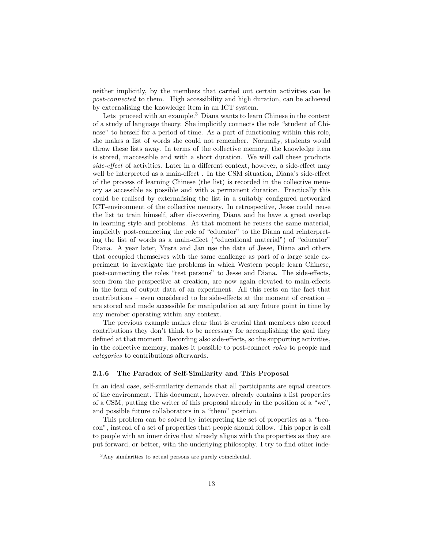neither implicitly, by the members that carried out certain activities can be post-connected to them. High accessibility and high duration, can be achieved by externalising the knowledge item in an ICT system.

Lets proceed with an example.<sup>3</sup> Diana wants to learn Chinese in the context of a study of language theory. She implicitly connects the role "student of Chinese" to herself for a period of time. As a part of functioning within this role, she makes a list of words she could not remember. Normally, students would throw these lists away. In terms of the collective memory, the knowledge item is stored, inaccessible and with a short duration. We will call these products side-effect of activities. Later in a different context, however, a side-effect may well be interpreted as a main-effect . In the CSM situation, Diana's side-effect of the process of learning Chinese (the list) is recorded in the collective memory as accessible as possible and with a permanent duration. Practically this could be realised by externalising the list in a suitably configured networked ICT-environment of the collective memory. In retrospective, Jesse could reuse the list to train himself, after discovering Diana and he have a great overlap in learning style and problems. At that moment he reuses the same material, implicitly post-connecting the role of "educator" to the Diana and reinterpreting the list of words as a main-effect ("educational material") of "educator" Diana. A year later, Yusra and Jan use the data of Jesse, Diana and others that occupied themselves with the same challenge as part of a large scale experiment to investigate the problems in which Western people learn Chinese, post-connecting the roles "test persons" to Jesse and Diana. The side-effects, seen from the perspective at creation, are now again elevated to main-effects in the form of output data of an experiment. All this rests on the fact that contributions – even considered to be side-effects at the moment of creation – are stored and made accessible for manipulation at any future point in time by any member operating within any context.

The previous example makes clear that is crucial that members also record contributions they don't think to be necessary for accomplishing the goal they defined at that moment. Recording also side-effects, so the supporting activities, in the collective memory, makes it possible to post-connect roles to people and categories to contributions afterwards.

#### 2.1.6 The Paradox of Self-Similarity and This Proposal

In an ideal case, self-similarity demands that all participants are equal creators of the environment. This document, however, already contains a list properties of a CSM, putting the writer of this proposal already in the position of a "we", and possible future collaborators in a "them" position.

This problem can be solved by interpreting the set of properties as a "beacon", instead of a set of properties that people should follow. This paper is call to people with an inner drive that already aligns with the properties as they are put forward, or better, with the underlying philosophy. I try to find other inde-

<sup>3</sup>Any similarities to actual persons are purely coincidental.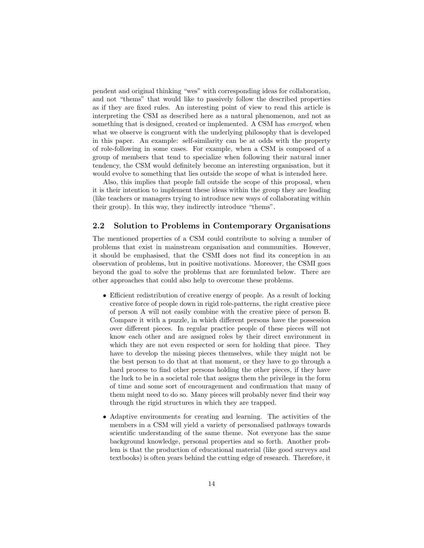pendent and original thinking "wes" with corresponding ideas for collaboration, and not "thems" that would like to passively follow the described properties as if they are fixed rules. An interesting point of view to read this article is interpreting the CSM as described here as a natural phenomenon, and not as something that is designed, created or implemented. A CSM has *emerged*, when what we observe is congruent with the underlying philosophy that is developed in this paper. An example: self-similarity can be at odds with the property of role-following in some cases. For example, when a CSM is composed of a group of members that tend to specialize when following their natural inner tendency, the CSM would definitely become an interesting organisation, but it would evolve to something that lies outside the scope of what is intended here.

Also, this implies that people fall outside the scope of this proposal, when it is their intention to implement these ideas within the group they are leading (like teachers or managers trying to introduce new ways of collaborating within their group). In this way, they indirectly introduce "thems".

#### 2.2 Solution to Problems in Contemporary Organisations

The mentioned properties of a CSM could contribute to solving a number of problems that exist in mainstream organisation and communities. However, it should be emphasised, that the CSMI does not find its conception in an observation of problems, but in positive motivations. Moreover, the CSMI goes beyond the goal to solve the problems that are formulated below. There are other approaches that could also help to overcome these problems.

- Efficient redistribution of creative energy of people. As a result of locking creative force of people down in rigid role-patterns, the right creative piece of person A will not easily combine with the creative piece of person B. Compare it with a puzzle, in which different persons have the possession over different pieces. In regular practice people of these pieces will not know each other and are assigned roles by their direct environment in which they are not even respected or seen for holding that piece. They have to develop the missing pieces themselves, while they might not be the best person to do that at that moment, or they have to go through a hard process to find other persons holding the other pieces, if they have the luck to be in a societal role that assigns them the privilege in the form of time and some sort of encouragement and confirmation that many of them might need to do so. Many pieces will probably never find their way through the rigid structures in which they are trapped.
- Adaptive environments for creating and learning. The activities of the members in a CSM will yield a variety of personalised pathways towards scientific understanding of the same theme. Not everyone has the same background knowledge, personal properties and so forth. Another problem is that the production of educational material (like good surveys and textbooks) is often years behind the cutting edge of research. Therefore, it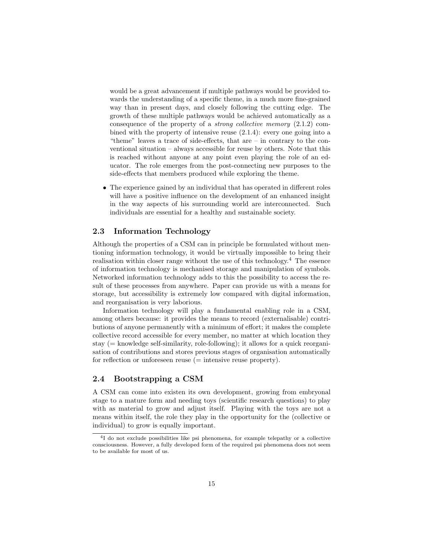would be a great advancement if multiple pathways would be provided towards the understanding of a specific theme, in a much more fine-grained way than in present days, and closely following the cutting edge. The growth of these multiple pathways would be achieved automatically as a consequence of the property of a *strong collective memory*  $(2.1.2)$  combined with the property of intensive reuse (2.1.4): every one going into a "theme" leaves a trace of side-effects, that are – in contrary to the conventional situation – always accessible for reuse by others. Note that this is reached without anyone at any point even playing the role of an educator. The role emerges from the post-connecting new purposes to the side-effects that members produced while exploring the theme.

• The experience gained by an individual that has operated in different roles will have a positive influence on the development of an enhanced insight in the way aspects of his surrounding world are interconnected. Such individuals are essential for a healthy and sustainable society.

#### 2.3 Information Technology

Although the properties of a CSM can in principle be formulated without mentioning information technology, it would be virtually impossible to bring their realisation within closer range without the use of this technology.<sup>4</sup> The essence of information technology is mechanised storage and manipulation of symbols. Networked information technology adds to this the possibility to access the result of these processes from anywhere. Paper can provide us with a means for storage, but accessibility is extremely low compared with digital information, and reorganisation is very laborious.

Information technology will play a fundamental enabling role in a CSM, among others because: it provides the means to record (externalisable) contributions of anyone permanently with a minimum of effort; it makes the complete collective record accessible for every member, no matter at which location they stay (= knowledge self-similarity, role-following); it allows for a quick reorganisation of contributions and stores previous stages of organisation automatically for reflection or unforeseen reuse  $(=$  intensive reuse property).

#### 2.4 Bootstrapping a CSM

A CSM can come into existen its own development, growing from embryonal stage to a mature form and needing toys (scientific research questions) to play with as material to grow and adjust itself. Playing with the toys are not a means within itself, the role they play in the opportunity for the (collective or individual) to grow is equally important.

<sup>&</sup>lt;sup>4</sup>I do not exclude possibilities like psi phenomena, for example telepathy or a collective consciousness. However, a fully developed form of the required psi phenomena does not seem to be available for most of us.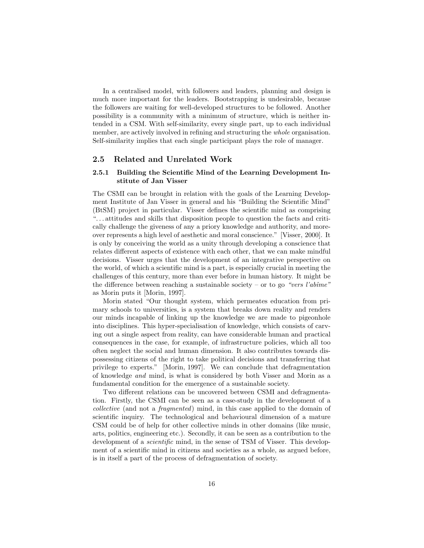In a centralised model, with followers and leaders, planning and design is much more important for the leaders. Bootstrapping is undesirable, because the followers are waiting for well-developed structures to be followed. Another possibility is a community with a minimum of structure, which is neither intended in a CSM. With self-similarity, every single part, up to each individual member, are actively involved in refining and structuring the whole organisation. Self-similarity implies that each single participant plays the role of manager.

#### 2.5 Related and Unrelated Work

#### 2.5.1 Building the Scientific Mind of the Learning Development Institute of Jan Visser

The CSMI can be brought in relation with the goals of the Learning Development Institute of Jan Visser in general and his "Building the Scientific Mind" (BtSM) project in particular. Visser defines the scientific mind as comprising ". . . attitudes and skills that disposition people to question the facts and critically challenge the giveness of any a priory knowledge and authority, and moreover represents a high level of aesthetic and moral conscience." [Visser, 2000]. It is only by conceiving the world as a unity through developing a conscience that relates different aspects of existence with each other, that we can make mindful decisions. Visser urges that the development of an integrative perspective on the world, of which a scientific mind is a part, is especially crucial in meeting the challenges of this century, more than ever before in human history. It might be the difference between reaching a sustainable society – or to go "vers l'abîme" as Morin puts it [Morin, 1997].

Morin stated "Our thought system, which permeates education from primary schools to universities, is a system that breaks down reality and renders our minds incapable of linking up the knowledge we are made to pigeonhole into disciplines. This hyper-specialisation of knowledge, which consists of carving out a single aspect from reality, can have considerable human and practical consequences in the case, for example, of infrastructure policies, which all too often neglect the social and human dimension. It also contributes towards dispossessing citizens of the right to take political decisions and transferring that privilege to experts." [Morin, 1997]. We can conclude that defragmentation of knowledge and mind, is what is considered by both Visser and Morin as a fundamental condition for the emergence of a sustainable society.

Two different relations can be uncovered between CSMI and defragmentation. Firstly, the CSMI can be seen as a case-study in the development of a collective (and not a fragmented) mind, in this case applied to the domain of scientific inquiry. The technological and behavioural dimension of a mature CSM could be of help for other collective minds in other domains (like music, arts, politics, engineering etc.). Secondly, it can be seen as a contribution to the development of a *scientific* mind, in the sense of TSM of Visser. This development of a scientific mind in citizens and societies as a whole, as argued before, is in itself a part of the process of defragmentation of society.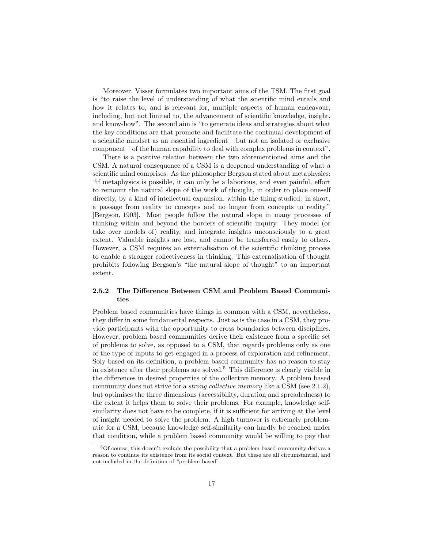Moreover, Visser formulates two important aims of the TSM. The first goal is "to raise the level of understanding of what the scientific mind entails and how it relates to, and is relevant for, multiple aspects of human endeavour, including, but not limited to, the advancement of scientific knowledge, insight, and know-how". The second aim is "to generate ideas and strategies about what the key conditions are that promote and facilitate the continual development of a scientific mindset as an essential ingredient – but not an isolated or exclusive component – of the human capability to deal with complex problems in context".

There is a positive relation between the two aforementioned aims and the CSM. A natural consequence of a CSM is a deepened understanding of what a scientific mind comprises. As the philosopher Bergson stated about metaphysics: "if metaphysics is possible, it can only be a laborious, and even painful, effort to remount the natural slope of the work of thought, in order to place oneself directly, by a kind of intellectual expansion, within the thing studied: in short, a passage from reality to concepts and no longer from concepts to reality." [Bergson, 1903]. Most people follow the natural slope in many processes of thinking within and beyond the borders of scientific inquiry. They model (or take over models of) reality, and integrate insights unconsciously to a great extent. Valuable insights are lost, and cannot be transferred easily to others. However, a CSM requires an externalisation of the scientific thinking process to enable a stronger collectiveness in thinking. This externalisation of thought prohibits following Bergson's "the natural slope of thought" to an important extent.

#### 2.5.2 The Difference Between CSM and Problem Based Communities

Problem based communities have things in common with a CSM, nevertheless, they differ in some fundamental respects. Just as is the case in a CSM, they provide participants with the opportunity to cross boundaries between disciplines. However, problem based communities derive their existence from a specific set of problems to solve, as opposed to a CSM, that regards problems only as one of the type of inputs to get engaged in a process of exploration and refinement. Soly based on its definition, a problem based community has no reason to stay in existence after their problems are solved.<sup>5</sup> This difference is clearly visible in the differences in desired properties of the collective memory. A problem based community does not strive for a strong collective memory like a CSM (see 2.1.2), but optimises the three dimensions (accessibility, duration and spreadedness) to the extent it helps them to solve their problems. For example, knowledge selfsimilarity does not have to be complete, if it is sufficient for arriving at the level of insight needed to solve the problem. A high turnover is extremely problematic for a CSM, because knowledge self-similarity can hardly be reached under that condition, while a problem based community would be willing to pay that

 $^{5} \mathrm{Of}$  course, this doesn't exclude the possibility that a problem based community derives a reason to continue its existence from its social context. But these are all circumstantial, and not included in the definition of "problem based".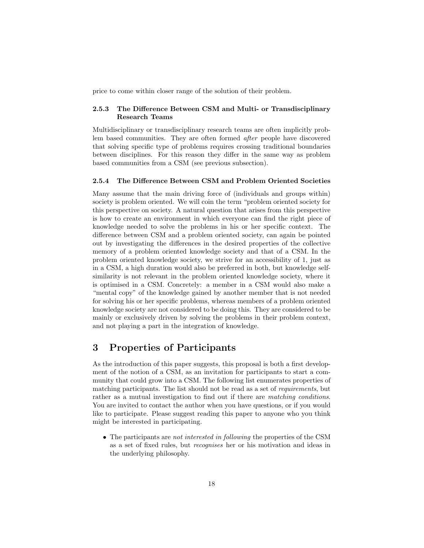price to come within closer range of the solution of their problem.

#### 2.5.3 The Difference Between CSM and Multi- or Transdisciplinary Research Teams

Multidisciplinary or transdisciplinary research teams are often implicitly problem based communities. They are often formed after people have discovered that solving specific type of problems requires crossing traditional boundaries between disciplines. For this reason they differ in the same way as problem based communities from a CSM (see previous subsection).

#### 2.5.4 The Difference Between CSM and Problem Oriented Societies

Many assume that the main driving force of (individuals and groups within) society is problem oriented. We will coin the term "problem oriented society for this perspective on society. A natural question that arises from this perspective is how to create an environment in which everyone can find the right piece of knowledge needed to solve the problems in his or her specific context. The difference between CSM and a problem oriented society, can again be pointed out by investigating the differences in the desired properties of the collective memory of a problem oriented knowledge society and that of a CSM. In the problem oriented knowledge society, we strive for an accessibility of 1, just as in a CSM, a high duration would also be preferred in both, but knowledge selfsimilarity is not relevant in the problem oriented knowledge society, where it is optimised in a CSM. Concretely: a member in a CSM would also make a "mental copy" of the knowledge gained by another member that is not needed for solving his or her specific problems, whereas members of a problem oriented knowledge society are not considered to be doing this. They are considered to be mainly or exclusively driven by solving the problems in their problem context, and not playing a part in the integration of knowledge.

## 3 Properties of Participants

As the introduction of this paper suggests, this proposal is both a first development of the notion of a CSM, as an invitation for participants to start a community that could grow into a CSM. The following list enumerates properties of matching participants. The list should not be read as a set of requirements, but rather as a mutual investigation to find out if there are matching conditions. You are invited to contact the author when you have questions, or if you would like to participate. Please suggest reading this paper to anyone who you think might be interested in participating.

• The participants are not interested in following the properties of the CSM as a set of fixed rules, but recognises her or his motivation and ideas in the underlying philosophy.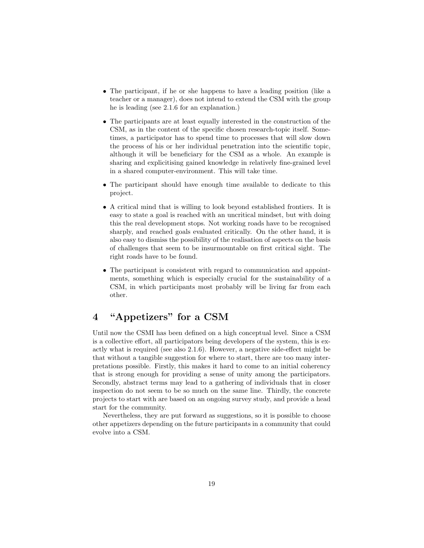- The participant, if he or she happens to have a leading position (like a teacher or a manager), does not intend to extend the CSM with the group he is leading (see 2.1.6 for an explanation.)
- The participants are at least equally interested in the construction of the CSM, as in the content of the specific chosen research-topic itself. Sometimes, a participator has to spend time to processes that will slow down the process of his or her individual penetration into the scientific topic, although it will be beneficiary for the CSM as a whole. An example is sharing and explicitising gained knowledge in relatively fine-grained level in a shared computer-environment. This will take time.
- The participant should have enough time available to dedicate to this project.
- A critical mind that is willing to look beyond established frontiers. It is easy to state a goal is reached with an uncritical mindset, but with doing this the real development stops. Not working roads have to be recognised sharply, and reached goals evaluated critically. On the other hand, it is also easy to dismiss the possibility of the realisation of aspects on the basis of challenges that seem to be insurmountable on first critical sight. The right roads have to be found.
- The participant is consistent with regard to communication and appointments, something which is especially crucial for the sustainability of a CSM, in which participants most probably will be living far from each other.

## 4 "Appetizers" for a CSM

Until now the CSMI has been defined on a high conceptual level. Since a CSM is a collective effort, all participators being developers of the system, this is exactly what is required (see also 2.1.6). However, a negative side-effect might be that without a tangible suggestion for where to start, there are too many interpretations possible. Firstly, this makes it hard to come to an initial coherency that is strong enough for providing a sense of unity among the participators. Secondly, abstract terms may lead to a gathering of individuals that in closer inspection do not seem to be so much on the same line. Thirdly, the concrete projects to start with are based on an ongoing survey study, and provide a head start for the community.

Nevertheless, they are put forward as suggestions, so it is possible to choose other appetizers depending on the future participants in a community that could evolve into a CSM.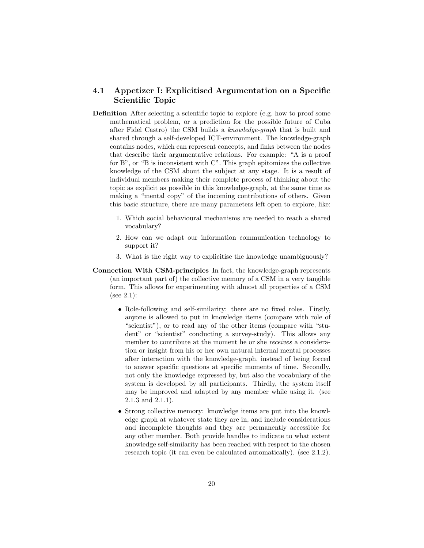#### 4.1 Appetizer I: Explicitised Argumentation on a Specific Scientific Topic

- Definition After selecting a scientific topic to explore (e.g. how to proof some mathematical problem, or a prediction for the possible future of Cuba after Fidel Castro) the CSM builds a knowledge-graph that is built and shared through a self-developed ICT-environment. The knowledge-graph contains nodes, which can represent concepts, and links between the nodes that describe their argumentative relations. For example: "A is a proof for B", or "B is inconsistent with C". This graph epitomizes the collective knowledge of the CSM about the subject at any stage. It is a result of individual members making their complete process of thinking about the topic as explicit as possible in this knowledge-graph, at the same time as making a "mental copy" of the incoming contributions of others. Given this basic structure, there are many parameters left open to explore, like:
	- 1. Which social behavioural mechanisms are needed to reach a shared vocabulary?
	- 2. How can we adapt our information communication technology to support it?
	- 3. What is the right way to explicitise the knowledge unambiguously?
- Connection With CSM-principles In fact, the knowledge-graph represents (an important part of) the collective memory of a CSM in a very tangible form. This allows for experimenting with almost all properties of a CSM (see 2.1):
	- Role-following and self-similarity: there are no fixed roles. Firstly, anyone is allowed to put in knowledge items (compare with role of "scientist"), or to read any of the other items (compare with "student" or "scientist" conducting a survey-study). This allows any member to contribute at the moment he or she receives a consideration or insight from his or her own natural internal mental processes after interaction with the knowledge-graph, instead of being forced to answer specific questions at specific moments of time. Secondly, not only the knowledge expressed by, but also the vocabulary of the system is developed by all participants. Thirdly, the system itself may be improved and adapted by any member while using it. (see 2.1.3 and 2.1.1).
	- Strong collective memory: knowledge items are put into the knowledge graph at whatever state they are in, and include considerations and incomplete thoughts and they are permanently accessible for any other member. Both provide handles to indicate to what extent knowledge self-similarity has been reached with respect to the chosen research topic (it can even be calculated automatically). (see 2.1.2).